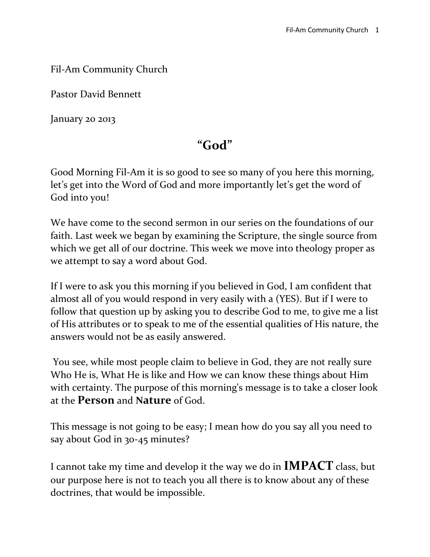#### Fil-Am Community Church

Pastor David Bennett

January 20 2013

#### **"God"**

Good Morning Fil-Am it is so good to see so many of you here this morning, let's get into the Word of God and more importantly let's get the word of God into you!

We have come to the second sermon in our series on the foundations of our faith. Last week we began by examining the Scripture, the single source from which we get all of our doctrine. This week we move into theology proper as we attempt to say a word about God.

If I were to ask you this morning if you believed in God, I am confident that almost all of you would respond in very easily with a (YES). But if I were to follow that question up by asking you to describe God to me, to give me a list of His attributes or to speak to me of the essential qualities of His nature, the answers would not be as easily answered.

You see, while most people claim to believe in God, they are not really sure Who He is, What He is like and How we can know these things about Him with certainty. The purpose of this morning's message is to take a closer look at the **Person** and **Nature** of God.

This message is not going to be easy; I mean how do you say all you need to say about God in 30-45 minutes?

I cannot take my time and develop it the way we do in **IMPACT** class, but our purpose here is not to teach you all there is to know about any of these doctrines, that would be impossible.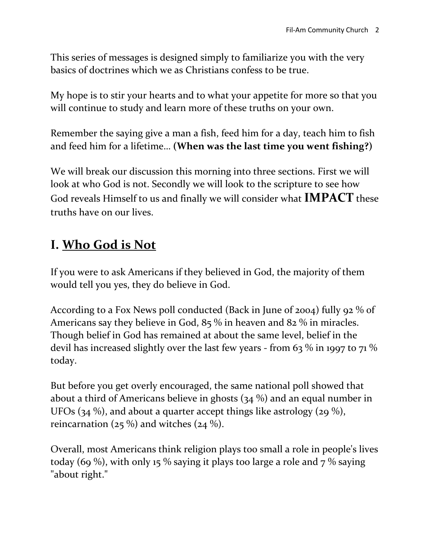This series of messages is designed simply to familiarize you with the very basics of doctrines which we as Christians confess to be true.

My hope is to stir your hearts and to what your appetite for more so that you will continue to study and learn more of these truths on your own.

Remember the saying give a man a fish, feed him for a day, teach him to fish and feed him for a lifetime… **(When was the last time you went fishing?)**

We will break our discussion this morning into three sections. First we will look at who God is not. Secondly we will look to the scripture to see how God reveals Himself to us and finally we will consider what **IMPACT** these truths have on our lives.

#### **I. Who God is Not**

If you were to ask Americans if they believed in God, the majority of them would tell you yes, they do believe in God.

According to a Fox News poll conducted (Back in June of 2004) fully 92 % of Americans say they believe in God, 85 % in heaven and 82 % in miracles. Though belief in God has remained at about the same level, belief in the devil has increased slightly over the last few years - from 63 % in 1997 to 71 % today.

But before you get overly encouraged, the same national poll showed that about a third of Americans believe in ghosts (34 %) and an equal number in UFOs (34 %), and about a quarter accept things like astrology (29 %), reincarnation ( $25\%$ ) and witches ( $24\%$ ).

Overall, most Americans think religion plays too small a role in people's lives today (69 %), with only 15 % saying it plays too large a role and  $7$  % saying "about right."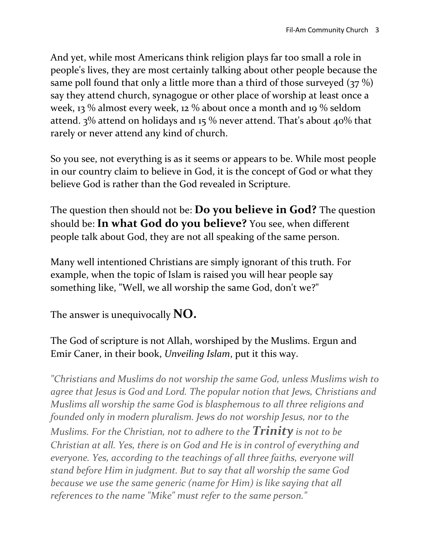And yet, while most Americans think religion plays far too small a role in people's lives, they are most certainly talking about other people because the same poll found that only a little more than a third of those surveyed (37 %) say they attend church, synagogue or other place of worship at least once a week, 13 % almost every week, 12 % about once a month and 19 % seldom attend. 3% attend on holidays and 15 % never attend. That's about 40% that rarely or never attend any kind of church.

So you see, not everything is as it seems or appears to be. While most people in our country claim to believe in God, it is the concept of God or what they believe God is rather than the God revealed in Scripture.

The question then should not be: **Do you believe in God?** The question should be: **In what God do you believe?** You see, when different people talk about God, they are not all speaking of the same person.

Many well intentioned Christians are simply ignorant of this truth. For example, when the topic of Islam is raised you will hear people say something like, "Well, we all worship the same God, don't we?"

The answer is unequivocally **NO.**

The God of scripture is not Allah, worshiped by the Muslims. Ergun and Emir Caner, in their book, *Unveiling Islam*, put it this way.

*"Christians and Muslims do not worship the same God, unless Muslims wish to agree that Jesus is God and Lord. The popular notion that Jews, Christians and Muslims all worship the same God is blasphemous to all three religions and founded only in modern pluralism. Jews do not worship Jesus, nor to the Muslims. For the Christian, not to adhere to the Trinity is not to be Christian at all. Yes, there is on God and He is in control of everything and everyone. Yes, according to the teachings of all three faiths, everyone will stand before Him in judgment. But to say that all worship the same God because we use the same generic (name for Him) is like saying that all references to the name "Mike" must refer to the same person."*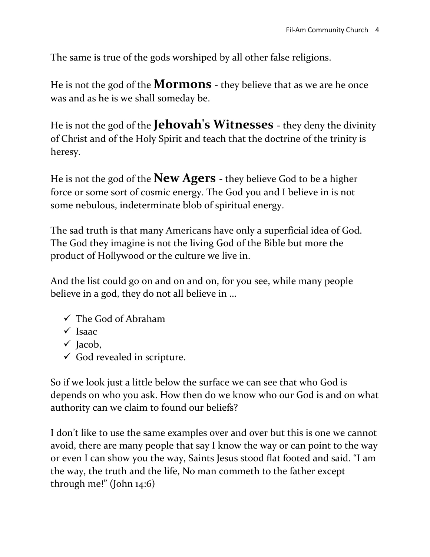The same is true of the gods worshiped by all other false religions.

He is not the god of the **Mormons** - they believe that as we are he once was and as he is we shall someday be.

He is not the god of the **Jehovah's Witnesses** - they deny the divinity of Christ and of the Holy Spirit and teach that the doctrine of the trinity is heresy.

He is not the god of the **New Agers** - they believe God to be a higher force or some sort of cosmic energy. The God you and I believe in is not some nebulous, indeterminate blob of spiritual energy.

The sad truth is that many Americans have only a superficial idea of God. The God they imagine is not the living God of the Bible but more the product of Hollywood or the culture we live in.

And the list could go on and on and on, for you see, while many people believe in a god, they do not all believe in …

- $\checkmark$  The God of Abraham
- $\checkmark$  Isaac
- $\checkmark$  Jacob,
- $\checkmark$  God revealed in scripture.

So if we look just a little below the surface we can see that who God is depends on who you ask. How then do we know who our God is and on what authority can we claim to found our beliefs?

I don't like to use the same examples over and over but this is one we cannot avoid, there are many people that say I know the way or can point to the way or even I can show you the way, Saints Jesus stood flat footed and said. "I am the way, the truth and the life, No man commeth to the father except through me!" (John 14:6)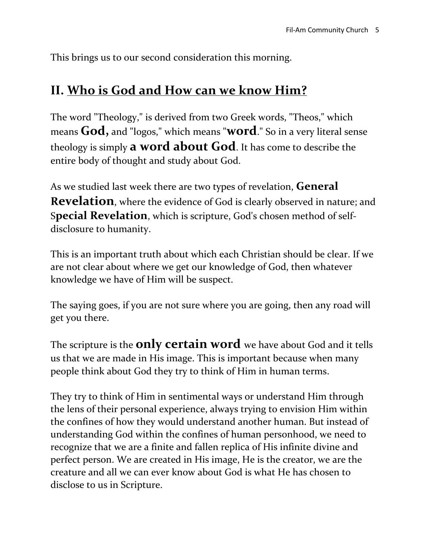This brings us to our second consideration this morning.

#### **II. Who is God and How can we know Him?**

The word "Theology," is derived from two Greek words, "Theos," which means **God,** and "logos," which means "**word**." So in a very literal sense theology is simply **a word about God**. It has come to describe the entire body of thought and study about God.

As we studied last week there are two types of revelation, **General Revelation**, where the evidence of God is clearly observed in nature; and S**pecial Revelation**, which is scripture, God's chosen method of selfdisclosure to humanity.

This is an important truth about which each Christian should be clear. If we are not clear about where we get our knowledge of God, then whatever knowledge we have of Him will be suspect.

The saying goes, if you are not sure where you are going, then any road will get you there.

The scripture is the **only certain word** we have about God and it tells us that we are made in His image. This is important because when many people think about God they try to think of Him in human terms.

They try to think of Him in sentimental ways or understand Him through the lens of their personal experience, always trying to envision Him within the confines of how they would understand another human. But instead of understanding God within the confines of human personhood, we need to recognize that we are a finite and fallen replica of His infinite divine and perfect person. We are created in His image, He is the creator, we are the creature and all we can ever know about God is what He has chosen to disclose to us in Scripture.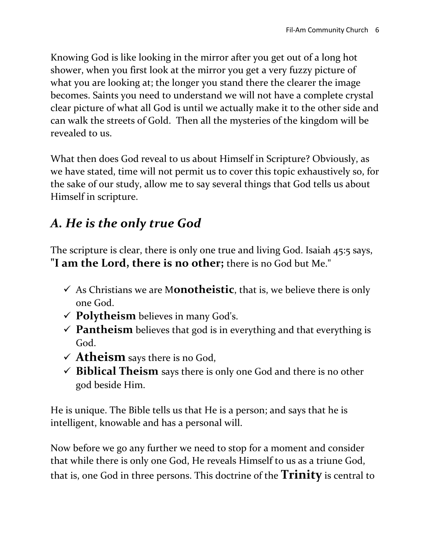Knowing God is like looking in the mirror after you get out of a long hot shower, when you first look at the mirror you get a very fuzzy picture of what you are looking at; the longer you stand there the clearer the image becomes. Saints you need to understand we will not have a complete crystal clear picture of what all God is until we actually make it to the other side and can walk the streets of Gold. Then all the mysteries of the kingdom will be revealed to us.

What then does God reveal to us about Himself in Scripture? Obviously, as we have stated, time will not permit us to cover this topic exhaustively so, for the sake of our study, allow me to say several things that God tells us about Himself in scripture.

#### *A. He is the only true God*

The scripture is clear, there is only one true and living God. Isaiah 45:5 says, **"I am the Lord, there is no other;** there is no God but Me."

- $\checkmark$  As Christians we are M**onotheistic**, that is, we believe there is only one God.
- **Polytheism** believes in many God's.
- **Pantheism** believes that god is in everything and that everything is God.
- $\checkmark$  **Atheism** says there is no God,
- $\checkmark$  **Biblical Theism** says there is only one God and there is no other god beside Him.

He is unique. The Bible tells us that He is a person; and says that he is intelligent, knowable and has a personal will.

Now before we go any further we need to stop for a moment and consider that while there is only one God, He reveals Himself to us as a triune God, that is, one God in three persons. This doctrine of the **Trinity** is central to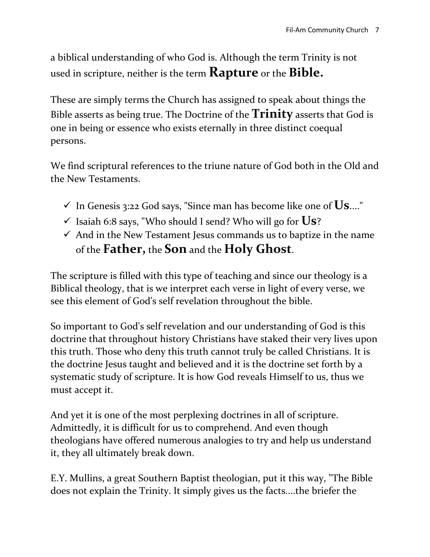a biblical understanding of who God is. Although the term Trinity is not used in scripture, neither is the term **Rapture** or the **Bible.**

These are simply terms the Church has assigned to speak about things the Bible asserts as being true. The Doctrine of the **Trinity** asserts that God is one in being or essence who exists eternally in three distinct coequal persons.

We find scriptural references to the triune nature of God both in the Old and the New Testaments.

- $\checkmark$  In Genesis 3:22 God says, "Since man has become like one of  $\checkmark$ Us...."
- $\checkmark$  Isaiah 6:8 says, "Who should I send? Who will go for  $\checkmark$ Us?
- $\checkmark$  And in the New Testament Jesus commands us to baptize in the name of the **Father,** the **Son** and the **Holy Ghost**.

The scripture is filled with this type of teaching and since our theology is a Biblical theology, that is we interpret each verse in light of every verse, we see this element of God's self revelation throughout the bible.

So important to God's self revelation and our understanding of God is this doctrine that throughout history Christians have staked their very lives upon this truth. Those who deny this truth cannot truly be called Christians. It is the doctrine Jesus taught and believed and it is the doctrine set forth by a systematic study of scripture. It is how God reveals Himself to us, thus we must accept it.

And yet it is one of the most perplexing doctrines in all of scripture. Admittedly, it is difficult for us to comprehend. And even though theologians have offered numerous analogies to try and help us understand it, they all ultimately break down.

E.Y. Mullins, a great Southern Baptist theologian, put it this way, "The Bible does not explain the Trinity. It simply gives us the facts....the briefer the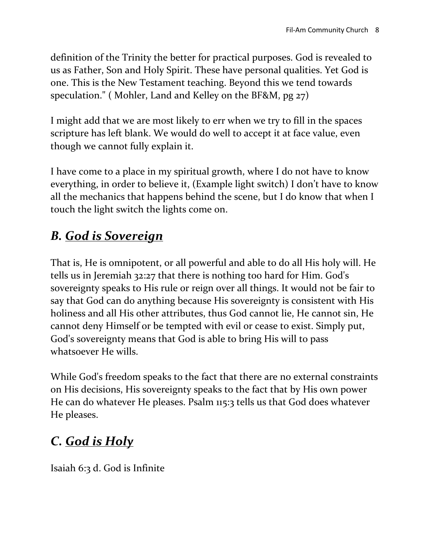definition of the Trinity the better for practical purposes. God is revealed to us as Father, Son and Holy Spirit. These have personal qualities. Yet God is one. This is the New Testament teaching. Beyond this we tend towards speculation." ( Mohler, Land and Kelley on the BF&M, pg 27)

I might add that we are most likely to err when we try to fill in the spaces scripture has left blank. We would do well to accept it at face value, even though we cannot fully explain it.

I have come to a place in my spiritual growth, where I do not have to know everything, in order to believe it, (Example light switch) I don't have to know all the mechanics that happens behind the scene, but I do know that when I touch the light switch the lights come on.

#### *B. God is Sovereign*

That is, He is omnipotent, or all powerful and able to do all His holy will. He tells us in Jeremiah 32:27 that there is nothing too hard for Him. God's sovereignty speaks to His rule or reign over all things. It would not be fair to say that God can do anything because His sovereignty is consistent with His holiness and all His other attributes, thus God cannot lie, He cannot sin, He cannot deny Himself or be tempted with evil or cease to exist. Simply put, God's sovereignty means that God is able to bring His will to pass whatsoever He wills.

While God's freedom speaks to the fact that there are no external constraints on His decisions, His sovereignty speaks to the fact that by His own power He can do whatever He pleases. Psalm 115:3 tells us that God does whatever He pleases.

# *C. God is Holy*

Isaiah 6:3 d. God is Infinite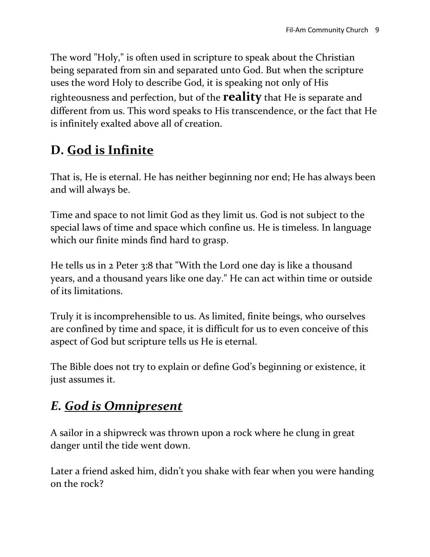The word "Holy," is often used in scripture to speak about the Christian being separated from sin and separated unto God. But when the scripture uses the word Holy to describe God, it is speaking not only of His righteousness and perfection, but of the **reality** that He is separate and different from us. This word speaks to His transcendence, or the fact that He is infinitely exalted above all of creation.

## **D. God is Infinite**

That is, He is eternal. He has neither beginning nor end; He has always been and will always be.

Time and space to not limit God as they limit us. God is not subject to the special laws of time and space which confine us. He is timeless. In language which our finite minds find hard to grasp.

He tells us in 2 Peter 3:8 that "With the Lord one day is like a thousand years, and a thousand years like one day." He can act within time or outside of its limitations.

Truly it is incomprehensible to us. As limited, finite beings, who ourselves are confined by time and space, it is difficult for us to even conceive of this aspect of God but scripture tells us He is eternal.

The Bible does not try to explain or define God's beginning or existence, it just assumes it.

## *E. God is Omnipresent*

A sailor in a shipwreck was thrown upon a rock where he clung in great danger until the tide went down.

Later a friend asked him, didn't you shake with fear when you were handing on the rock?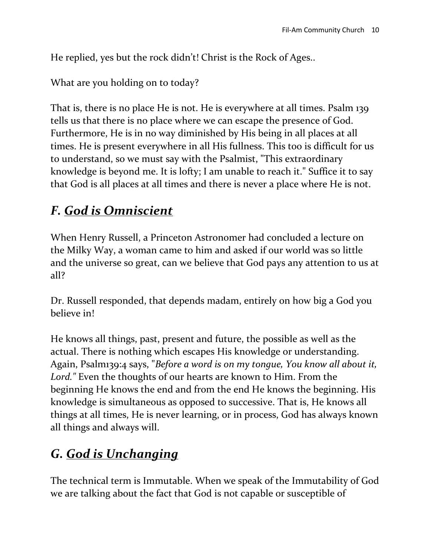He replied, yes but the rock didn't! Christ is the Rock of Ages..

What are you holding on to today?

That is, there is no place He is not. He is everywhere at all times. Psalm 139 tells us that there is no place where we can escape the presence of God. Furthermore, He is in no way diminished by His being in all places at all times. He is present everywhere in all His fullness. This too is difficult for us to understand, so we must say with the Psalmist, "This extraordinary knowledge is beyond me. It is lofty; I am unable to reach it." Suffice it to say that God is all places at all times and there is never a place where He is not.

# *F. God is Omniscient*

When Henry Russell, a Princeton Astronomer had concluded a lecture on the Milky Way, a woman came to him and asked if our world was so little and the universe so great, can we believe that God pays any attention to us at all?

Dr. Russell responded, that depends madam, entirely on how big a God you believe in!

He knows all things, past, present and future, the possible as well as the actual. There is nothing which escapes His knowledge or understanding. Again, Psalm139:4 says, "*Before a word is on my tongue, You know all about it, Lord."* Even the thoughts of our hearts are known to Him. From the beginning He knows the end and from the end He knows the beginning. His knowledge is simultaneous as opposed to successive. That is, He knows all things at all times, He is never learning, or in process, God has always known all things and always will.

# *G. God is Unchanging*

The technical term is Immutable. When we speak of the Immutability of God we are talking about the fact that God is not capable or susceptible of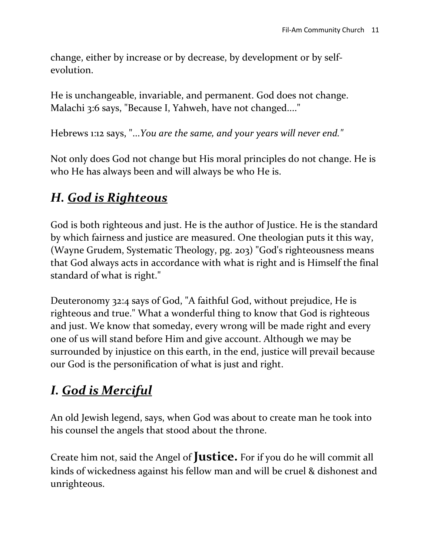change, either by increase or by decrease, by development or by selfevolution.

He is unchangeable, invariable, and permanent. God does not change. Malachi 3:6 says, "Because I, Yahweh, have not changed...."

Hebrews 1:12 says, "...*You are the same, and your years will never end."*

Not only does God not change but His moral principles do not change. He is who He has always been and will always be who He is.

#### *H. God is Righteous*

God is both righteous and just. He is the author of Justice. He is the standard by which fairness and justice are measured. One theologian puts it this way, (Wayne Grudem, Systematic Theology, pg. 203) "God's righteousness means that God always acts in accordance with what is right and is Himself the final standard of what is right."

Deuteronomy 32:4 says of God, "A faithful God, without prejudice, He is righteous and true." What a wonderful thing to know that God is righteous and just. We know that someday, every wrong will be made right and every one of us will stand before Him and give account. Although we may be surrounded by injustice on this earth, in the end, justice will prevail because our God is the personification of what is just and right.

## *I. God is Merciful*

An old Jewish legend, says, when God was about to create man he took into his counsel the angels that stood about the throne.

Create him not, said the Angel of **Justice.** For if you do he will commit all kinds of wickedness against his fellow man and will be cruel & dishonest and unrighteous.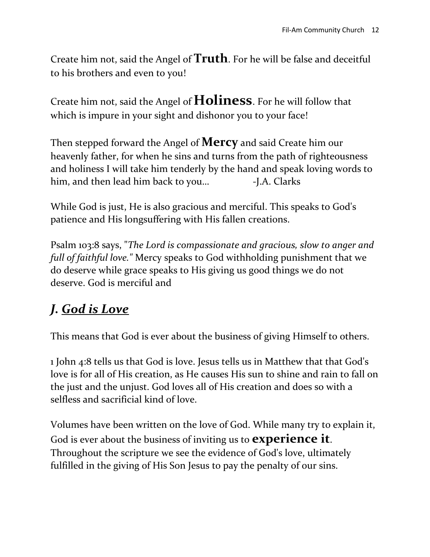Create him not, said the Angel of **Truth**. For he will be false and deceitful to his brothers and even to you!

Create him not, said the Angel of **Holiness**. For he will follow that which is impure in your sight and dishonor you to your face!

Then stepped forward the Angel of **Mercy** and said Create him our heavenly father, for when he sins and turns from the path of righteousness and holiness I will take him tenderly by the hand and speak loving words to him, and then lead him back to you... - J.A. Clarks

While God is just, He is also gracious and merciful. This speaks to God's patience and His longsuffering with His fallen creations.

Psalm 103:8 says, "*The Lord is compassionate and gracious, slow to anger and full of faithful love."* Mercy speaks to God withholding punishment that we do deserve while grace speaks to His giving us good things we do not deserve. God is merciful and

# *J. God is Love*

This means that God is ever about the business of giving Himself to others.

1 John 4:8 tells us that God is love. Jesus tells us in Matthew that that God's love is for all of His creation, as He causes His sun to shine and rain to fall on the just and the unjust. God loves all of His creation and does so with a selfless and sacrificial kind of love.

Volumes have been written on the love of God. While many try to explain it, God is ever about the business of inviting us to **experience it**. Throughout the scripture we see the evidence of God's love, ultimately fulfilled in the giving of His Son Jesus to pay the penalty of our sins.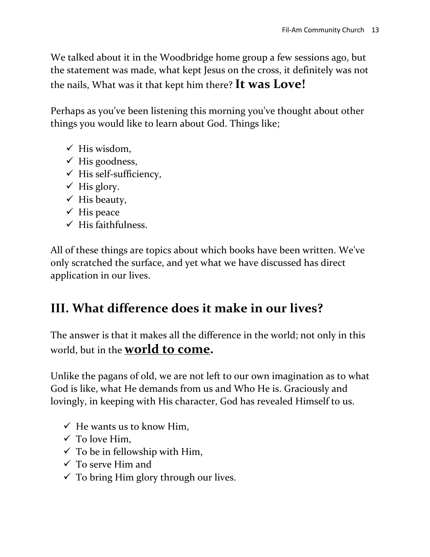We talked about it in the Woodbridge home group a few sessions ago, but the statement was made, what kept Jesus on the cross, it definitely was not the nails, What was it that kept him there? **It was Love!**

Perhaps as you've been listening this morning you've thought about other things you would like to learn about God. Things like;

- $\checkmark$  His wisdom,
- $\checkmark$  His goodness,
- $\checkmark$  His self-sufficiency,
- $\checkmark$  His glory.
- $\checkmark$  His beauty,
- $\checkmark$  His peace
- $\checkmark$  His faithfulness.

All of these things are topics about which books have been written. We've only scratched the surface, and yet what we have discussed has direct application in our lives.

## **III. What difference does it make in our lives?**

The answer is that it makes all the difference in the world; not only in this world, but in the **world to come.**

Unlike the pagans of old, we are not left to our own imagination as to what God is like, what He demands from us and Who He is. Graciously and lovingly, in keeping with His character, God has revealed Himself to us.

- $\checkmark$  He wants us to know Him,
- $\checkmark$  To love Him,
- $\checkmark$  To be in fellowship with Him,
- $\checkmark$  To serve Him and
- $\checkmark$  To bring Him glory through our lives.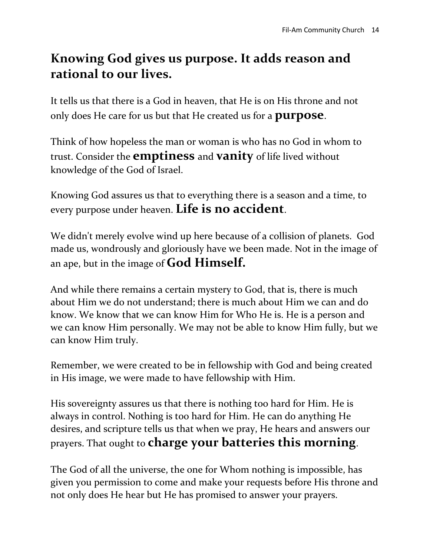#### **Knowing God gives us purpose. It adds reason and rational to our lives.**

It tells us that there is a God in heaven, that He is on His throne and not only does He care for us but that He created us for a **purpose**.

Think of how hopeless the man or woman is who has no God in whom to trust. Consider the **emptiness** and **vanity** of life lived without knowledge of the God of Israel.

Knowing God assures us that to everything there is a season and a time, to every purpose under heaven. **Life is no accident**.

We didn't merely evolve wind up here because of a collision of planets. God made us, wondrously and gloriously have we been made. Not in the image of an ape, but in the image of **God Himself.**

And while there remains a certain mystery to God, that is, there is much about Him we do not understand; there is much about Him we can and do know. We know that we can know Him for Who He is. He is a person and we can know Him personally. We may not be able to know Him fully, but we can know Him truly.

Remember, we were created to be in fellowship with God and being created in His image, we were made to have fellowship with Him.

His sovereignty assures us that there is nothing too hard for Him. He is always in control. Nothing is too hard for Him. He can do anything He desires, and scripture tells us that when we pray, He hears and answers our prayers. That ought to **charge your batteries this morning**.

The God of all the universe, the one for Whom nothing is impossible, has given you permission to come and make your requests before His throne and not only does He hear but He has promised to answer your prayers.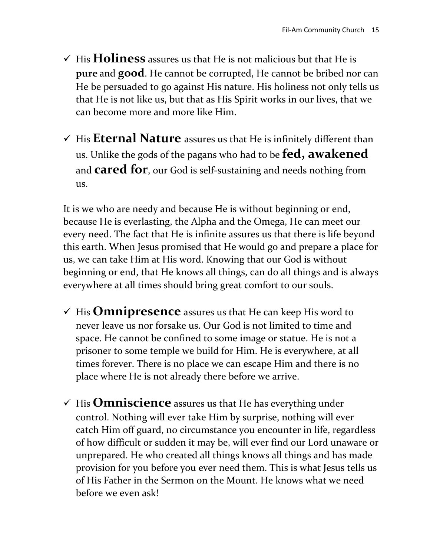- $\checkmark$  His **Holiness** assures us that He is not malicious but that He is **pure** and **good**. He cannot be corrupted, He cannot be bribed nor can He be persuaded to go against His nature. His holiness not only tells us that He is not like us, but that as His Spirit works in our lives, that we can become more and more like Him.
- $\checkmark$  His **Eternal Nature** assures us that He is infinitely different than us. Unlike the gods of the pagans who had to be **fed, awakened** and **cared for**, our God is self-sustaining and needs nothing from us.

It is we who are needy and because He is without beginning or end, because He is everlasting, the Alpha and the Omega, He can meet our every need. The fact that He is infinite assures us that there is life beyond this earth. When Jesus promised that He would go and prepare a place for us, we can take Him at His word. Knowing that our God is without beginning or end, that He knows all things, can do all things and is always everywhere at all times should bring great comfort to our souls.

- $\checkmark$  His **Omnipresence** assures us that He can keep His word to never leave us nor forsake us. Our God is not limited to time and space. He cannot be confined to some image or statue. He is not a prisoner to some temple we build for Him. He is everywhere, at all times forever. There is no place we can escape Him and there is no place where He is not already there before we arrive.
- $\checkmark$  His **Omniscience** assures us that He has everything under control. Nothing will ever take Him by surprise, nothing will ever catch Him off guard, no circumstance you encounter in life, regardless of how difficult or sudden it may be, will ever find our Lord unaware or unprepared. He who created all things knows all things and has made provision for you before you ever need them. This is what Jesus tells us of His Father in the Sermon on the Mount. He knows what we need before we even ask!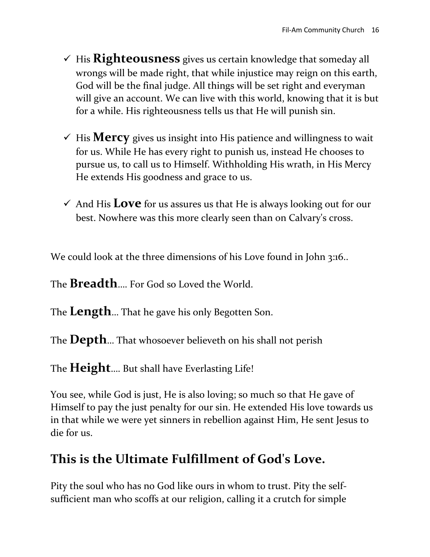- $\checkmark$  His **Righteousness** gives us certain knowledge that someday all wrongs will be made right, that while injustice may reign on this earth, God will be the final judge. All things will be set right and everyman will give an account. We can live with this world, knowing that it is but for a while. His righteousness tells us that He will punish sin.
- $\checkmark$  His **Mercy** gives us insight into His patience and willingness to wait for us. While He has every right to punish us, instead He chooses to pursue us, to call us to Himself. Withholding His wrath, in His Mercy He extends His goodness and grace to us.
- And His **Love** for us assures us that He is always looking out for our best. Nowhere was this more clearly seen than on Calvary's cross.

We could look at the three dimensions of his Love found in John 3:16..

The **Breadth**…. For God so Loved the World.

The **Length**… That he gave his only Begotten Son.

The **Depth**… That whosoever believeth on his shall not perish

The **Height**…. But shall have Everlasting Life!

You see, while God is just, He is also loving; so much so that He gave of Himself to pay the just penalty for our sin. He extended His love towards us in that while we were yet sinners in rebellion against Him, He sent Jesus to die for us.

#### **This is the Ultimate Fulfillment of God's Love.**

Pity the soul who has no God like ours in whom to trust. Pity the selfsufficient man who scoffs at our religion, calling it a crutch for simple